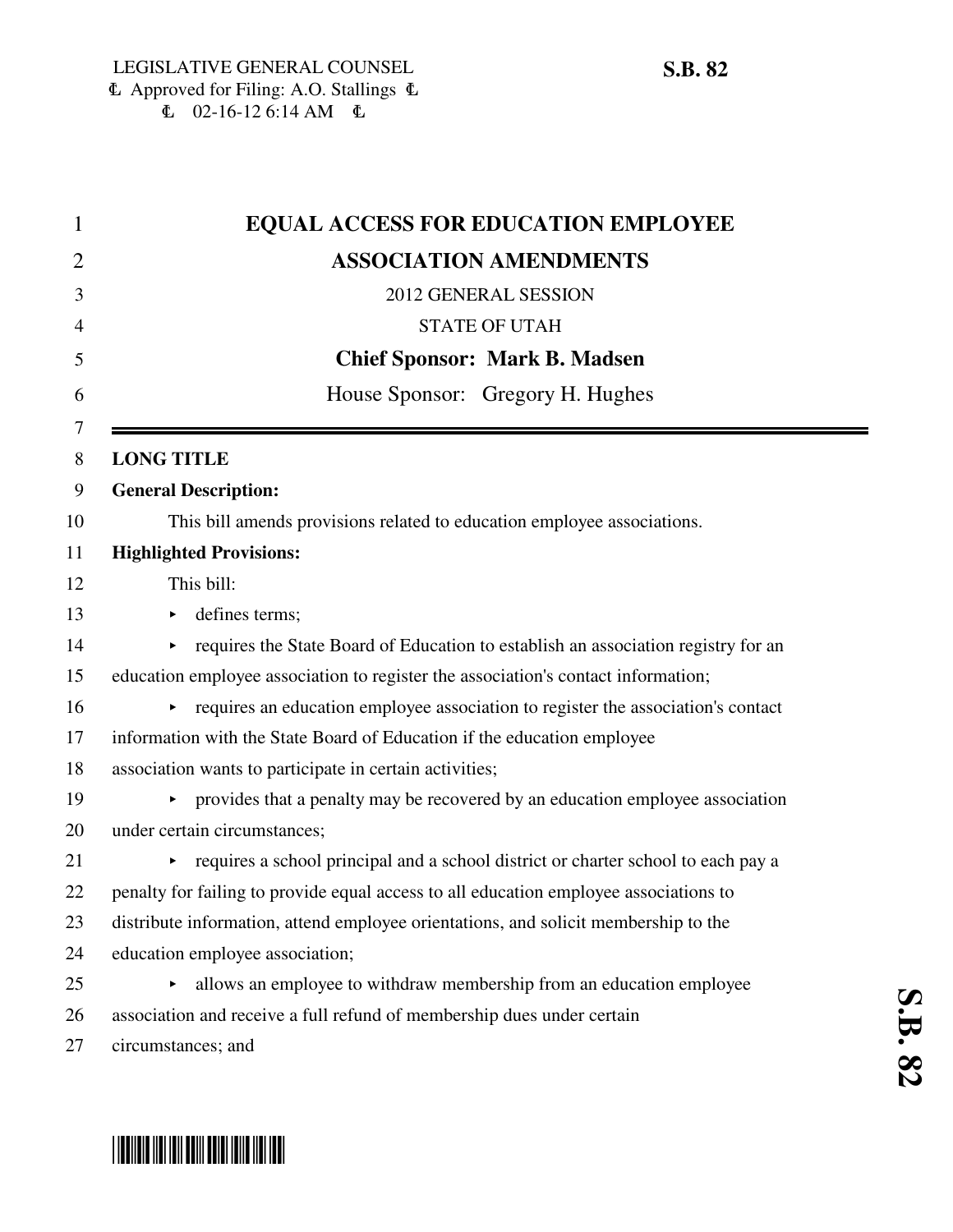|                   | <b>EQUAL ACCESS FOR EDUCATION EMPLOYEE</b>                                            |
|-------------------|---------------------------------------------------------------------------------------|
|                   | <b>ASSOCIATION AMENDMENTS</b>                                                         |
|                   | 2012 GENERAL SESSION                                                                  |
|                   | <b>STATE OF UTAH</b>                                                                  |
|                   | <b>Chief Sponsor: Mark B. Madsen</b>                                                  |
|                   | House Sponsor: Gregory H. Hughes                                                      |
| <b>LONG TITLE</b> |                                                                                       |
|                   | <b>General Description:</b>                                                           |
|                   | This bill amends provisions related to education employee associations.               |
|                   | <b>Highlighted Provisions:</b>                                                        |
|                   | This bill:                                                                            |
| ▶                 | defines terms;                                                                        |
|                   | requires the State Board of Education to establish an association registry for an     |
|                   | education employee association to register the association's contact information;     |
|                   | requires an education employee association to register the association's contact      |
|                   | information with the State Board of Education if the education employee               |
|                   | association wants to participate in certain activities;                               |
|                   | provides that a penalty may be recovered by an education employee association         |
|                   | under certain circumstances;                                                          |
|                   | requires a school principal and a school district or charter school to each pay a     |
|                   | penalty for failing to provide equal access to all education employee associations to |
|                   | distribute information, attend employee orientations, and solicit membership to the   |
|                   | education employee association;                                                       |
| ▶                 | allows an employee to withdraw membership from an education employee                  |
|                   | association and receive a full refund of membership dues under certain                |
|                   | circumstances; and                                                                    |

## \*SB0082\*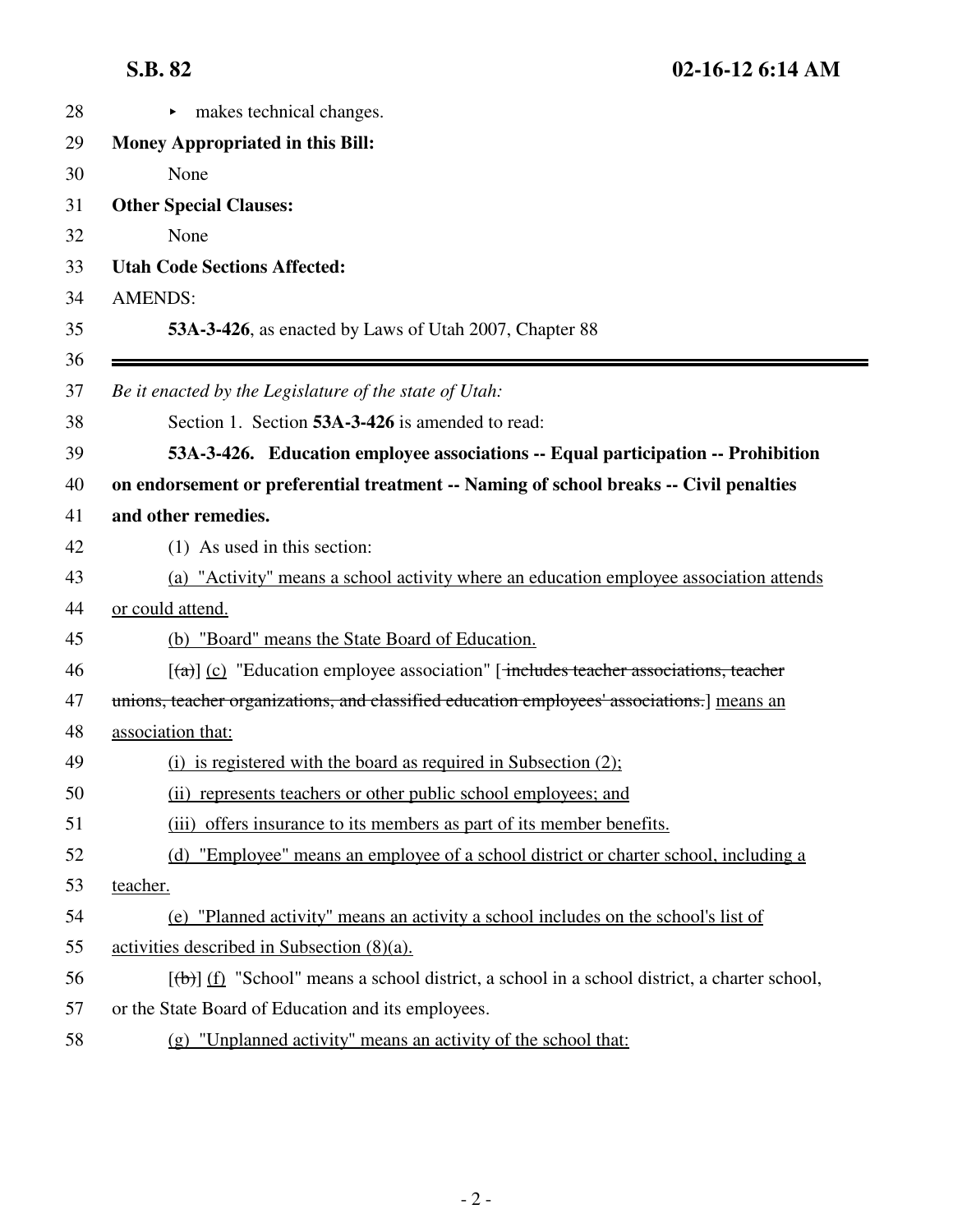| <br>.<br>- 14 | ∼ |
|---------------|---|
|---------------|---|

| 28 | makes technical changes.                                                                          |
|----|---------------------------------------------------------------------------------------------------|
| 29 | Money Appropriated in this Bill:                                                                  |
| 30 | None                                                                                              |
| 31 | <b>Other Special Clauses:</b>                                                                     |
| 32 | None                                                                                              |
| 33 | <b>Utah Code Sections Affected:</b>                                                               |
| 34 | <b>AMENDS:</b>                                                                                    |
| 35 | 53A-3-426, as enacted by Laws of Utah 2007, Chapter 88                                            |
| 36 |                                                                                                   |
| 37 | Be it enacted by the Legislature of the state of Utah:                                            |
| 38 | Section 1. Section 53A-3-426 is amended to read:                                                  |
| 39 | 53A-3-426. Education employee associations -- Equal participation -- Prohibition                  |
| 40 | on endorsement or preferential treatment -- Naming of school breaks -- Civil penalties            |
| 41 | and other remedies.                                                                               |
| 42 | (1) As used in this section:                                                                      |
| 43 | (a) "Activity" means a school activity where an education employee association attends            |
| 44 | or could attend.                                                                                  |
| 45 | (b) "Board" means the State Board of Education.                                                   |
| 46 | $[\text{A}]$ (c) "Education employee association" [includes teacher associations, teacher         |
| 47 | unions, teacher organizations, and classified education employees' associations.] means an        |
| 48 | association that:                                                                                 |
| 49 | $(i)$ is registered with the board as required in Subsection $(2)$ ;                              |
| 50 | (ii) represents teachers or other public school employees; and                                    |
| 51 | (iii) offers insurance to its members as part of its member benefits.                             |
| 52 | (d) "Employee" means an employee of a school district or charter school, including a              |
| 53 | teacher.                                                                                          |
| 54 | (e) "Planned activity" means an activity a school includes on the school's list of                |
| 55 | activities described in Subsection $(8)(a)$ .                                                     |
| 56 | $[\theta]$ (f) "School" means a school district, a school in a school district, a charter school, |
| 57 | or the State Board of Education and its employees.                                                |
| 58 | (g) "Unplanned activity" means an activity of the school that:                                    |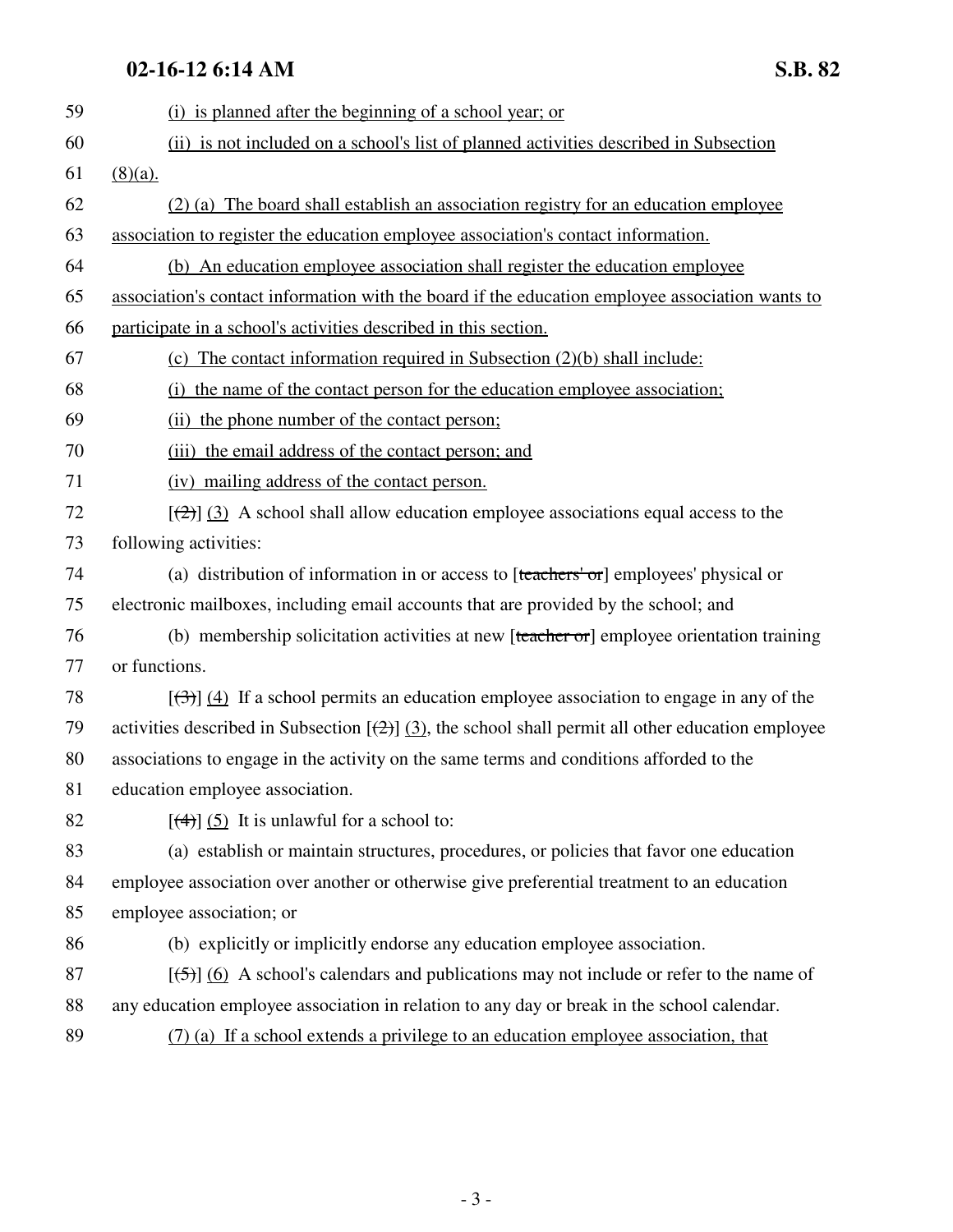## **02-16-12 6:14 AM S.B. 82**

59 (i) is planned after the beginning of a school year; or 60 (ii) is not included on a school's list of planned activities described in Subsection 61 (8)(a). 62 (2) (a) The board shall establish an association registry for an education employee 63 association to register the education employee association's contact information. 64 (b) An education employee association shall register the education employee 65 association's contact information with the board if the education employee association wants to 66 participate in a school's activities described in this section. 67 (c) The contact information required in Subsection (2)(b) shall include: 68 (i) the name of the contact person for the education employee association; 69 (ii) the phone number of the contact person; 70 (iii) the email address of the contact person; and 71 (iv) mailing address of the contact person.  $[2]$  [(2)] (3) A school shall allow education employee associations equal access to the 73 following activities: 74 (a) distribution of information in or access to [teachers' or] employees' physical or 75 electronic mailboxes, including email accounts that are provided by the school; and 76 (b) membership solicitation activities at new [teacher or] employee orientation training 77 or functions. 78  $\left[\left(\frac{3}{3}\right)\right]$  (4) If a school permits an education employee association to engage in any of the 79 activities described in Subsection  $[\frac{1}{2}]$  (3), the school shall permit all other education employee 80 associations to engage in the activity on the same terms and conditions afforded to the 81 education employee association. 82  $[(4)] (5)$  It is unlawful for a school to: 83 (a) establish or maintain structures, procedures, or policies that favor one education 84 employee association over another or otherwise give preferential treatment to an education 85 employee association; or 86 (b) explicitly or implicitly endorse any education employee association.  $[5]$  (6) A school's calendars and publications may not include or refer to the name of 88 any education employee association in relation to any day or break in the school calendar. 89 (7) (a) If a school extends a privilege to an education employee association, that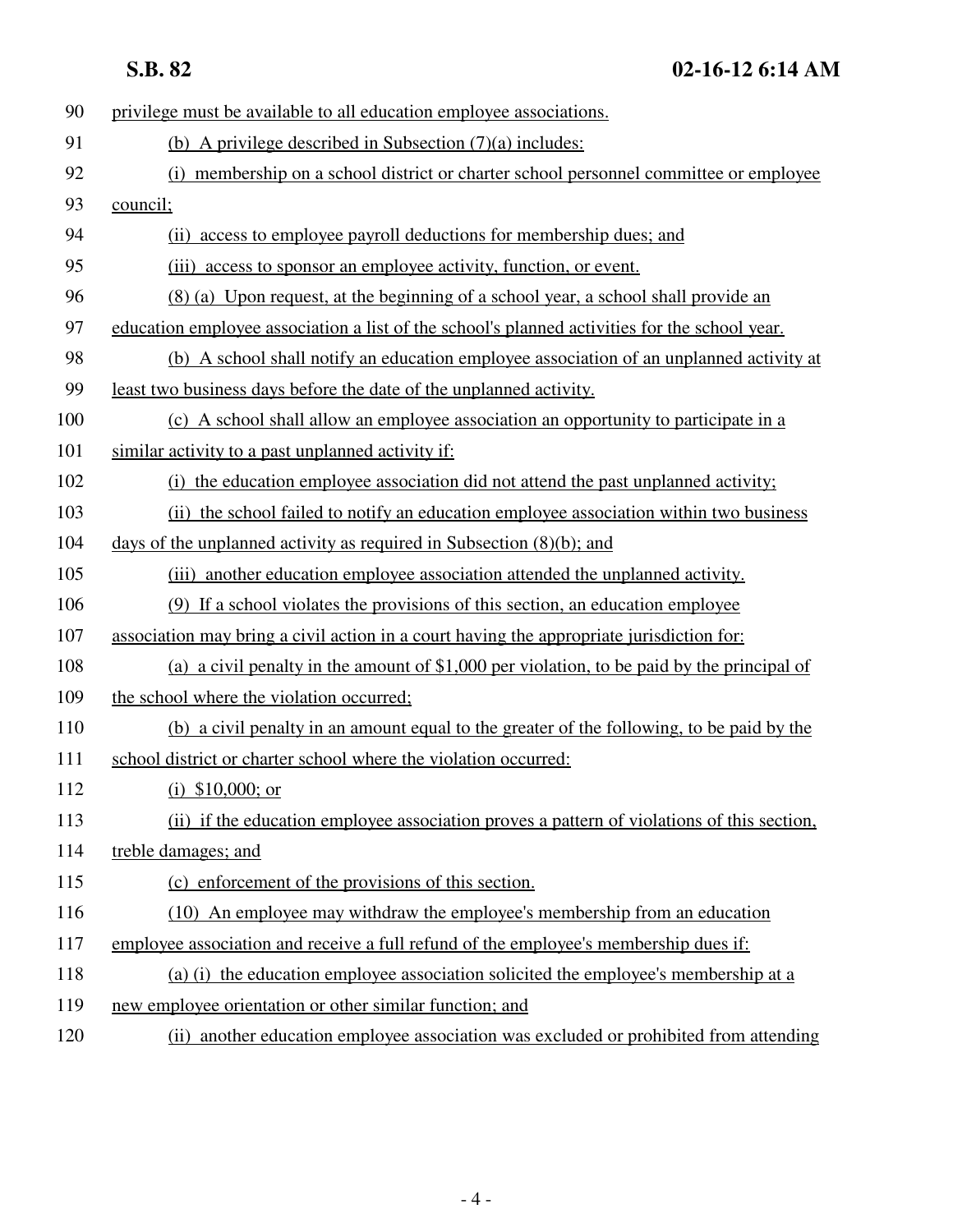**S.B. 82 02-16-12 6:14 AM**

| 90  | privilege must be available to all education employee associations.                           |
|-----|-----------------------------------------------------------------------------------------------|
| 91  | (b) A privilege described in Subsection $(7)(a)$ includes:                                    |
| 92  | (i) membership on a school district or charter school personnel committee or employee         |
| 93  | council;                                                                                      |
| 94  | (ii) access to employee payroll deductions for membership dues; and                           |
| 95  | access to sponsor an employee activity, function, or event.<br>(iii)                          |
| 96  | (8) (a) Upon request, at the beginning of a school year, a school shall provide an            |
| 97  | education employee association a list of the school's planned activities for the school year. |
| 98  | (b) A school shall notify an education employee association of an unplanned activity at       |
| 99  | least two business days before the date of the unplanned activity.                            |
| 100 | (c) A school shall allow an employee association an opportunity to participate in a           |
| 101 | similar activity to a past unplanned activity if:                                             |
| 102 | (i) the education employee association did not attend the past unplanned activity;            |
| 103 | (ii) the school failed to notify an education employee association within two business        |
| 104 | days of the unplanned activity as required in Subsection $(8)(b)$ ; and                       |
| 105 | (iii) another education employee association attended the unplanned activity.                 |
| 106 | (9) If a school violates the provisions of this section, an education employee                |
| 107 | association may bring a civil action in a court having the appropriate jurisdiction for:      |
| 108 | (a) a civil penalty in the amount of \$1,000 per violation, to be paid by the principal of    |
| 109 | the school where the violation occurred;                                                      |
| 110 | (b) a civil penalty in an amount equal to the greater of the following, to be paid by the     |
| 111 | school district or charter school where the violation occurred:                               |
| 112 | (i) $$10,000$ ; or                                                                            |
| 113 | (ii) if the education employee association proves a pattern of violations of this section,    |
| 114 | treble damages; and                                                                           |
| 115 | (c) enforcement of the provisions of this section.                                            |
| 116 | (10) An employee may withdraw the employee's membership from an education                     |
| 117 | employee association and receive a full refund of the employee's membership dues if:          |
| 118 | (a) (i) the education employee association solicited the employee's membership at a           |
| 119 | new employee orientation or other similar function; and                                       |
| 120 | (ii) another education employee association was excluded or prohibited from attending         |